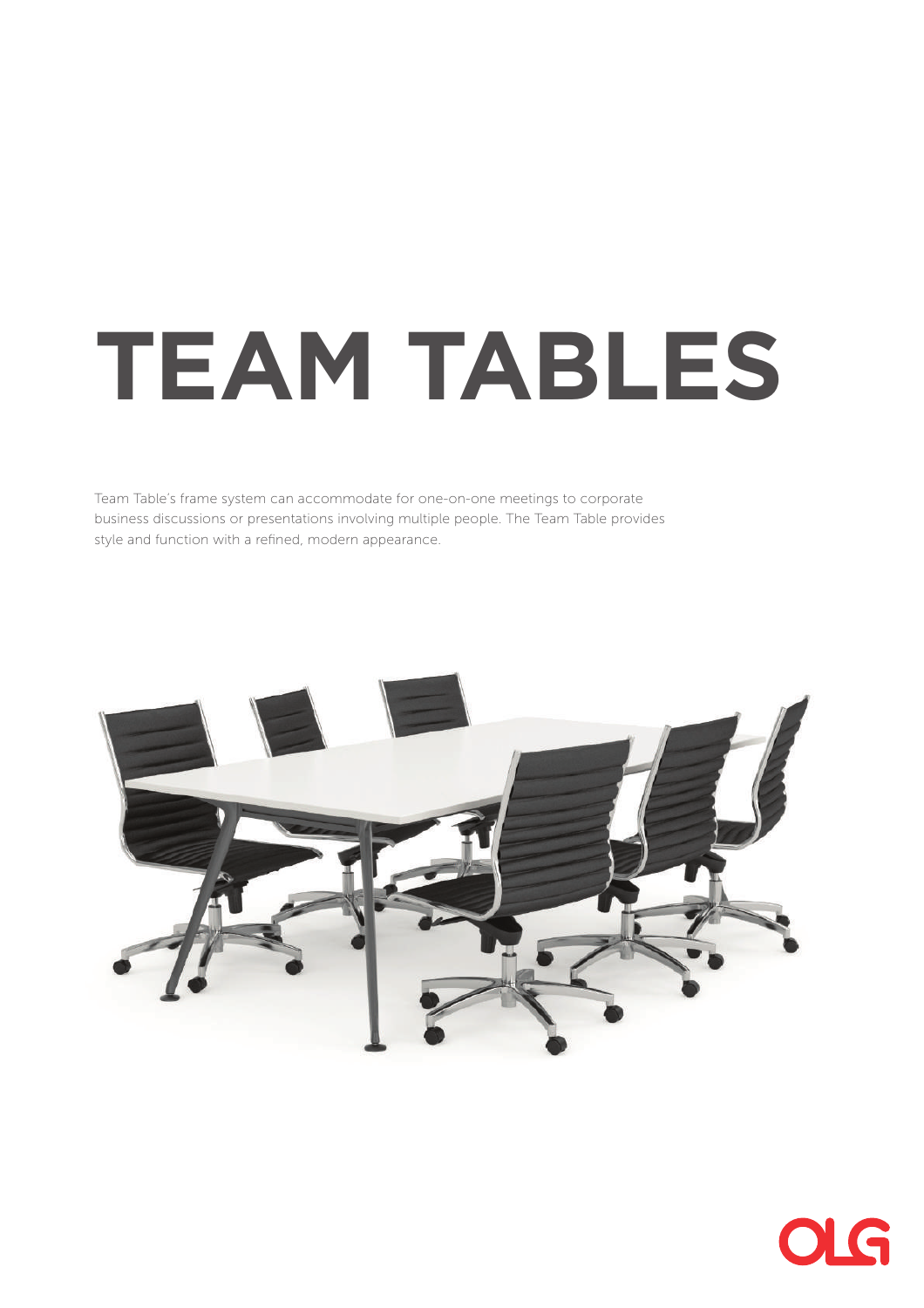# **TEAM TABLES**

Team Table's frame system can accommodate for one-on-one meetings to corporate business discussions or presentations involving multiple people. The Team Table provides style and function with a refined, modern appearance.